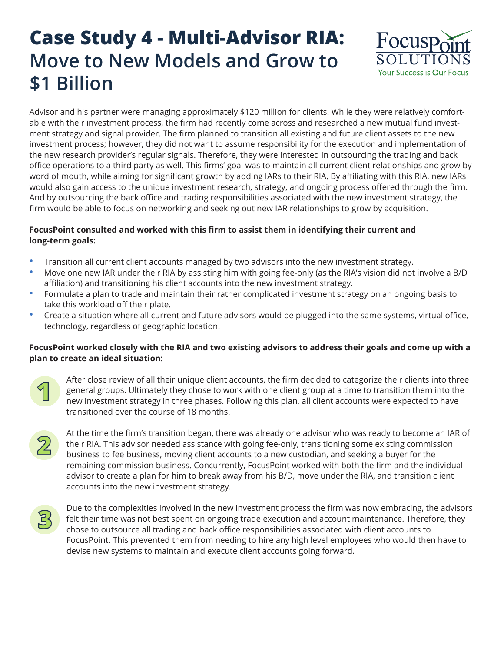## **Case Study 4 - Multi-Advisor RIA: Move to New Models and Grow to \$1 Billion**



Advisor and his partner were managing approximately \$120 million for clients. While they were relatively comfortable with their investment process, the firm had recently come across and researched a new mutual fund investment strategy and signal provider. The firm planned to transition all existing and future client assets to the new investment process; however, they did not want to assume responsibility for the execution and implementation of the new research provider's regular signals. Therefore, they were interested in outsourcing the trading and back office operations to a third party as well. This firms' goal was to maintain all current client relationships and grow by word of mouth, while aiming for significant growth by adding IARs to their RIA. By affiliating with this RIA, new IARs would also gain access to the unique investment research, strategy, and ongoing process offered through the firm. And by outsourcing the back office and trading responsibilities associated with the new investment strategy, the firm would be able to focus on networking and seeking out new IAR relationships to grow by acquisition.

## **FocusPoint consulted and worked with this firm to assist them in identifying their current and long-term goals:**

- Transition all current client accounts managed by two advisors into the new investment strategy.
- Move one new IAR under their RIA by assisting him with going fee-only (as the RIA's vision did not involve a B/D affiliation) and transitioning his client accounts into the new investment strategy.
- Formulate a plan to trade and maintain their rather complicated investment strategy on an ongoing basis to take this workload off their plate.
- Create a situation where all current and future advisors would be plugged into the same systems, virtual office, technology, regardless of geographic location.

## **FocusPoint worked closely with the RIA and two existing advisors to address their goals and come up with a plan to create an ideal situation:**



After close review of all their unique client accounts, the firm decided to categorize their clients into three general groups. Ultimately they chose to work with one client group at a time to transition them into the new investment strategy in three phases. Following this plan, all client accounts were expected to have transitioned over the course of 18 months.



At the time the firm's transition began, there was already one advisor who was ready to become an IAR of their RIA. This advisor needed assistance with going fee-only, transitioning some existing commission business to fee business, moving client accounts to a new custodian, and seeking a buyer for the remaining commission business. Concurrently, FocusPoint worked with both the firm and the individual advisor to create a plan for him to break away from his B/D, move under the RIA, and transition client accounts into the new investment strategy.



Due to the complexities involved in the new investment process the firm was now embracing, the advisors felt their time was not best spent on ongoing trade execution and account maintenance. Therefore, they chose to outsource all trading and back office responsibilities associated with client accounts to FocusPoint. This prevented them from needing to hire any high level employees who would then have to devise new systems to maintain and execute client accounts going forward.